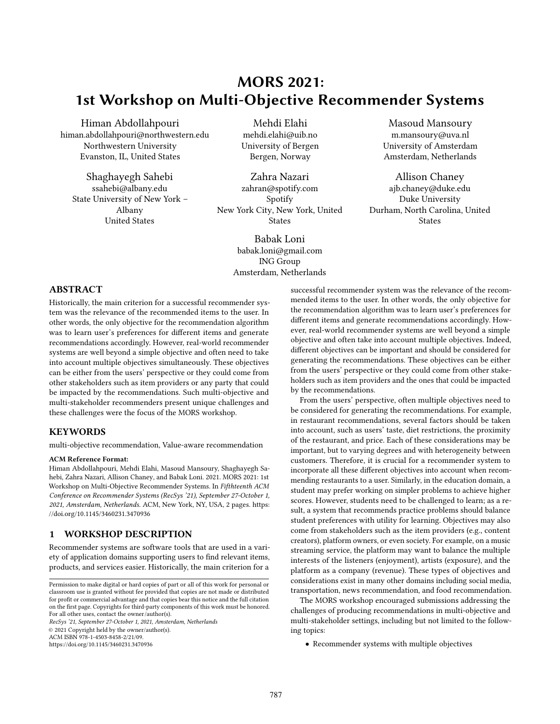# MORS 2021: 1st Workshop on Multi-Objective Recommender Systems

Himan Abdollahpouri himan.abdollahpouri@northwestern.edu Northwestern University Evanston, IL, United States

Shaghayegh Sahebi ssahebi@albany.edu State University of New York – Albany United States

Mehdi Elahi mehdi.elahi@uib.no University of Bergen Bergen, Norway

Zahra Nazari zahran@spotify.com Spotify New York City, New York, United **States** 

> Babak Loni babak.loni@gmail.com ING Group Amsterdam, Netherlands

Masoud Mansoury m.mansoury@uva.nl University of Amsterdam Amsterdam, Netherlands

Allison Chaney ajb.chaney@duke.edu Duke University Durham, North Carolina, United States

# ABSTRACT

Historically, the main criterion for a successful recommender system was the relevance of the recommended items to the user. In other words, the only objective for the recommendation algorithm was to learn user's preferences for different items and generate recommendations accordingly. However, real-world recommender systems are well beyond a simple objective and often need to take into account multiple objectives simultaneously. These objectives can be either from the users' perspective or they could come from other stakeholders such as item providers or any party that could be impacted by the recommendations. Such multi-objective and multi-stakeholder recommenders present unique challenges and these challenges were the focus of the MORS workshop.

# **KEYWORDS**

multi-objective recommendation, Value-aware recommendation

#### ACM Reference Format:

Himan Abdollahpouri, Mehdi Elahi, Masoud Mansoury, Shaghayegh Sahebi, Zahra Nazari, Allison Chaney, and Babak Loni. 2021. MORS 2021: 1st Workshop on Multi-Objective Recommender Systems. In Fifthteenth ACM Conference on Recommender Systems (RecSys '21), September 27-October 1, 2021, Amsterdam, Netherlands. ACM, New York, NY, USA, [2](#page-1-0) pages. [https:](https://doi.org/10.1145/3460231.3470936) [//doi.org/10.1145/3460231.3470936](https://doi.org/10.1145/3460231.3470936)

# 1 WORKSHOP DESCRIPTION

Recommender systems are software tools that are used in a variety of application domains supporting users to find relevant items, products, and services easier. Historically, the main criterion for a

RecSys '21, September 27-October 1, 2021, Amsterdam, Netherlands © 2021 Copyright held by the owner/author(s). ACM ISBN 978-1-4503-8458-2/21/09.

<https://doi.org/10.1145/3460231.3470936>

successful recommender system was the relevance of the recommended items to the user. In other words, the only objective for the recommendation algorithm was to learn user's preferences for different items and generate recommendations accordingly. However, real-world recommender systems are well beyond a simple objective and often take into account multiple objectives. Indeed, different objectives can be important and should be considered for generating the recommendations. These objectives can be either from the users' perspective or they could come from other stakeholders such as item providers and the ones that could be impacted by the recommendations.

From the users' perspective, often multiple objectives need to be considered for generating the recommendations. For example, in restaurant recommendations, several factors should be taken into account, such as users' taste, diet restrictions, the proximity of the restaurant, and price. Each of these considerations may be important, but to varying degrees and with heterogeneity between customers. Therefore, it is crucial for a recommender system to incorporate all these different objectives into account when recommending restaurants to a user. Similarly, in the education domain, a student may prefer working on simpler problems to achieve higher scores. However, students need to be challenged to learn; as a result, a system that recommends practice problems should balance student preferences with utility for learning. Objectives may also come from stakeholders such as the item providers (e.g., content creators), platform owners, or even society. For example, on a music streaming service, the platform may want to balance the multiple interests of the listeners (enjoyment), artists (exposure), and the platform as a company (revenue). These types of objectives and considerations exist in many other domains including social media, transportation, news recommendation, and food recommendation.

The MORS workshop encouraged submissions addressing the challenges of producing recommendations in multi-objective and multi-stakeholder settings, including but not limited to the following topics:

• Recommender systems with multiple objectives

Permission to make digital or hard copies of part or all of this work for personal or classroom use is granted without fee provided that copies are not made or distributed for profit or commercial advantage and that copies bear this notice and the full citation on the first page. Copyrights for third-party components of this work must be honored. For all other uses, contact the owner/author(s).